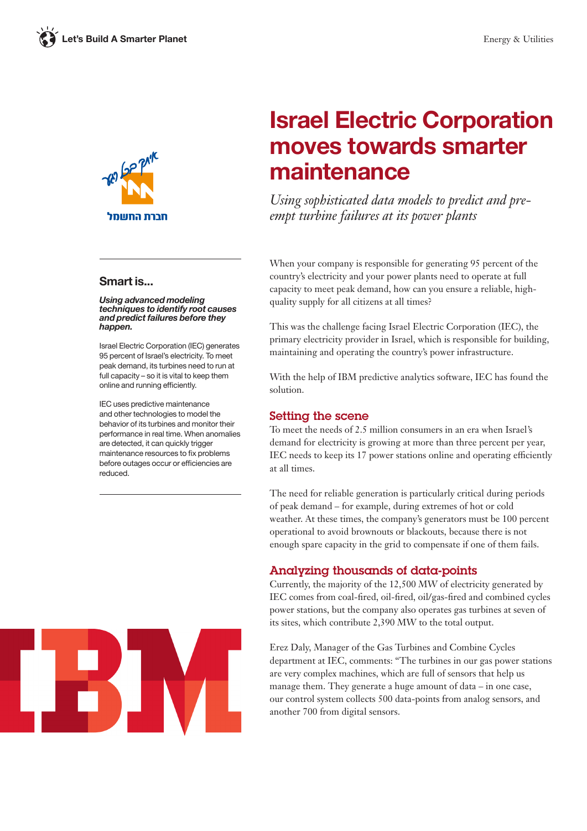

### Smart is...

Using advanced modeling techniques to identify root causes and predict failures before they happen.

Israel Electric Corporation (IEC) generates 95 percent of Israel's electricity. To meet peak demand, its turbines need to run at full capacity – so it is vital to keep them online and running efficiently.

IEC uses predictive maintenance and other technologies to model the behavior of its turbines and monitor their performance in real time. When anomalies are detected, it can quickly trigger maintenance resources to fix problems before outages occur or efficiencies are reduced.



# Israel Electric Corporation moves towards smarter maintenance

*Using sophisticated data models to predict and preempt turbine failures at its power plants*

When your company is responsible for generating 95 percent of the country's electricity and your power plants need to operate at full capacity to meet peak demand, how can you ensure a reliable, highquality supply for all citizens at all times?

This was the challenge facing Israel Electric Corporation (IEC), the primary electricity provider in Israel, which is responsible for building, maintaining and operating the country's power infrastructure.

With the help of IBM predictive analytics software, IEC has found the solution.

### Setting the scene

To meet the needs of 2.5 million consumers in an era when Israel's demand for electricity is growing at more than three percent per year, IEC needs to keep its 17 power stations online and operating efficiently at all times.

The need for reliable generation is particularly critical during periods of peak demand – for example, during extremes of hot or cold weather. At these times, the company's generators must be 100 percent operational to avoid brownouts or blackouts, because there is not enough spare capacity in the grid to compensate if one of them fails.

# Analyzing thousands of data-points

Currently, the majority of the 12,500 MW of electricity generated by IEC comes from coal-fired, oil-fired, oil/gas-fired and combined cycles power stations, but the company also operates gas turbines at seven of its sites, which contribute 2,390 MW to the total output.

Erez Daly, Manager of the Gas Turbines and Combine Cycles department at IEC, comments: "The turbines in our gas power stations are very complex machines, which are full of sensors that help us manage them. They generate a huge amount of data – in one case, our control system collects 500 data-points from analog sensors, and another 700 from digital sensors.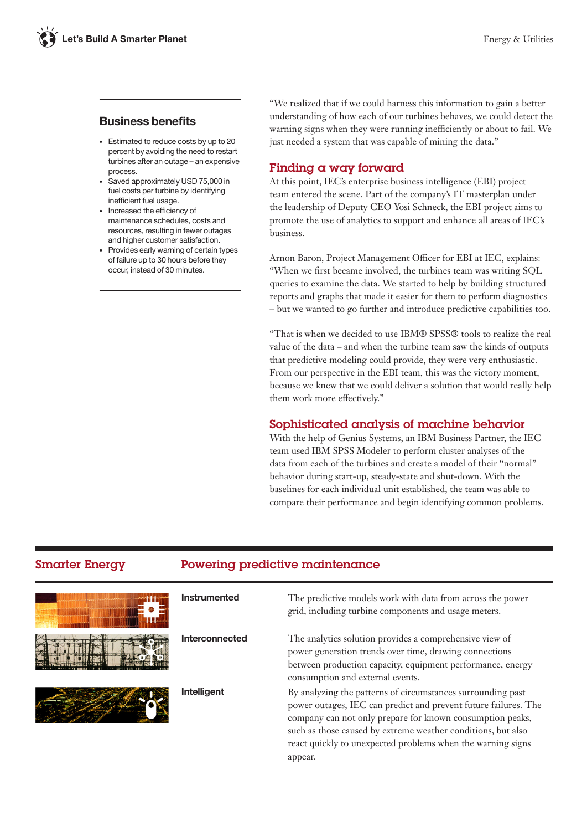# Business benefits

- Estimated to reduce costs by up to 20 percent by avoiding the need to restart turbines after an outage – an expensive process.
- Saved approximately USD 75,000 in fuel costs per turbine by identifying inefficient fuel usage.
- Increased the efficiency of maintenance schedules, costs and resources, resulting in fewer outages and higher customer satisfaction.
- Provides early warning of certain types of failure up to 30 hours before they occur, instead of 30 minutes.

"We realized that if we could harness this information to gain a better understanding of how each of our turbines behaves, we could detect the warning signs when they were running inefficiently or about to fail. We just needed a system that was capable of mining the data."

# Finding a way forward

At this point, IEC's enterprise business intelligence (EBI) project team entered the scene. Part of the company's IT masterplan under the leadership of Deputy CEO Yosi Schneck, the EBI project aims to promote the use of analytics to support and enhance all areas of IEC's business.

Arnon Baron, Project Management Officer for EBI at IEC, explains: "When we first became involved, the turbines team was writing SQL queries to examine the data. We started to help by building structured reports and graphs that made it easier for them to perform diagnostics – but we wanted to go further and introduce predictive capabilities too.

"That is when we decided to use IBM® SPSS® tools to realize the real value of the data – and when the turbine team saw the kinds of outputs that predictive modeling could provide, they were very enthusiastic. From our perspective in the EBI team, this was the victory moment, because we knew that we could deliver a solution that would really help them work more effectively."

# Sophisticated analysis of machine behavior

With the help of Genius Systems, an IBM Business Partner, the IEC team used IBM SPSS Modeler to perform cluster analyses of the data from each of the turbines and create a model of their "normal" behavior during start-up, steady-state and shut-down. With the baselines for each individual unit established, the team was able to compare their performance and begin identifying common problems.

# Smarter Energy Powering predictive maintenance





Instrumented The predictive models work with data from across the power grid, including turbine components and usage meters.

Interconnected The analytics solution provides a comprehensive view of power generation trends over time, drawing connections between production capacity, equipment performance, energy consumption and external events.

Intelligent By analyzing the patterns of circumstances surrounding past power outages, IEC can predict and prevent future failures. The company can not only prepare for known consumption peaks, such as those caused by extreme weather conditions, but also react quickly to unexpected problems when the warning signs appear.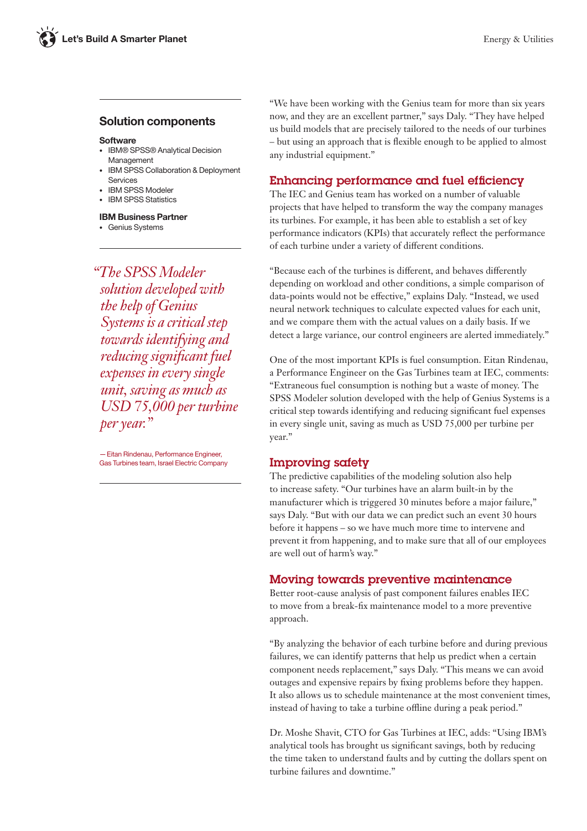#### Solution components

#### **Software**

- IBM® SPSS® Analytical Decision Management
- IBM SPSS Collaboration & Deployment Services
- IBM SPSS Modeler
- IBM SPSS Statistics

#### IBM Business Partner

• Genius Systems

*"The SPSS Modeler solution developed with the help of Genius Systems is a critical step towards identifying and reducing significant fuel expenses in every single unit, saving as much as USD 75,000 per turbine per year."*

—Eitan Rindenau, Performance Engineer, Gas Turbines team, Israel Electric Company

"We have been working with the Genius team for more than six years now, and they are an excellent partner," says Daly. "They have helped us build models that are precisely tailored to the needs of our turbines – but using an approach that is flexible enough to be applied to almost any industrial equipment."

# Enhancing performance and fuel efficiency

The IEC and Genius team has worked on a number of valuable projects that have helped to transform the way the company manages its turbines. For example, it has been able to establish a set of key performance indicators (KPIs) that accurately reflect the performance of each turbine under a variety of different conditions.

"Because each of the turbines is different, and behaves differently depending on workload and other conditions, a simple comparison of data-points would not be effective," explains Daly. "Instead, we used neural network techniques to calculate expected values for each unit, and we compare them with the actual values on a daily basis. If we detect a large variance, our control engineers are alerted immediately."

One of the most important KPIs is fuel consumption. Eitan Rindenau, a Performance Engineer on the Gas Turbines team at IEC, comments: "Extraneous fuel consumption is nothing but a waste of money. The SPSS Modeler solution developed with the help of Genius Systems is a critical step towards identifying and reducing significant fuel expenses in every single unit, saving as much as USD 75,000 per turbine per year."

# Improving safety

The predictive capabilities of the modeling solution also help to increase safety. "Our turbines have an alarm built-in by the manufacturer which is triggered 30 minutes before a major failure," says Daly. "But with our data we can predict such an event 30 hours before it happens – so we have much more time to intervene and prevent it from happening, and to make sure that all of our employees are well out of harm's way."

# Moving towards preventive maintenance

Better root-cause analysis of past component failures enables IEC to move from a break-fix maintenance model to a more preventive approach.

"By analyzing the behavior of each turbine before and during previous failures, we can identify patterns that help us predict when a certain component needs replacement," says Daly. "This means we can avoid outages and expensive repairs by fixing problems before they happen. It also allows us to schedule maintenance at the most convenient times, instead of having to take a turbine offline during a peak period."

Dr. Moshe Shavit, CTO for Gas Turbines at IEC, adds: "Using IBM's analytical tools has brought us significant savings, both by reducing the time taken to understand faults and by cutting the dollars spent on turbine failures and downtime."